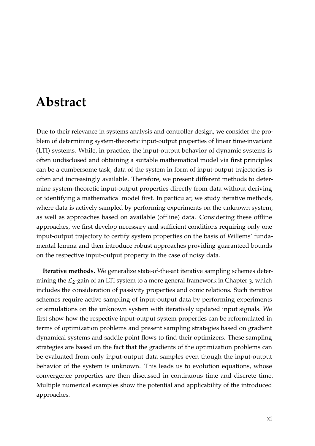# **Abstract**

Due to their relevance in systems analysis and controller design, we consider the problem of determining system-theoretic input-output properties of linear time-invariant (LTI) systems. While, in practice, the input-output behavior of dynamic systems is often undisclosed and obtaining a suitable mathematical model via first principles can be a cumbersome task, data of the system in form of input-output trajectories is often and increasingly available. Therefore, we present different methods to determine system-theoretic input-output properties directly from data without deriving or identifying a mathematical model first. In particular, we study iterative methods, where data is actively sampled by performing experiments on the unknown system, as well as approaches based on available (offline) data. Considering these offline approaches, we first develop necessary and sufficient conditions requiring only one input-output trajectory to certify system properties on the basis of Willems' fundamental lemma and then introduce robust approaches providing guaranteed bounds on the respective input-output property in the case of noisy data.

**Iterative methods.** We generalize state-of-the-art iterative sampling schemes determining the  $\mathcal{L}_2$ -gain of an LTI system to a more general framework in Chapter [3](#page--1-0), which includes the consideration of passivity properties and conic relations. Such iterative schemes require active sampling of input-output data by performing experiments or simulations on the unknown system with iteratively updated input signals. We first show how the respective input-output system properties can be reformulated in terms of optimization problems and present sampling strategies based on gradient dynamical systems and saddle point flows to find their optimizers. These sampling strategies are based on the fact that the gradients of the optimization problems can be evaluated from only input-output data samples even though the input-output behavior of the system is unknown. This leads us to evolution equations, whose convergence properties are then discussed in continuous time and discrete time. Multiple numerical examples show the potential and applicability of the introduced approaches.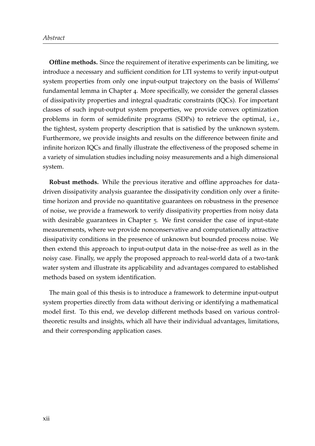**Offline methods.** Since the requirement of iterative experiments can be limiting, we introduce a necessary and sufficient condition for LTI systems to verify input-output system properties from only one input-output trajectory on the basis of Willems' fundamental lemma in Chapter [4](#page--1-0). More specifically, we consider the general classes of dissipativity properties and integral quadratic constraints (IQCs). For important classes of such input-output system properties, we provide convex optimization problems in form of semidefinite programs (SDPs) to retrieve the optimal, i.e., the tightest, system property description that is satisfied by the unknown system. Furthermore, we provide insights and results on the difference between finite and infinite horizon IQCs and finally illustrate the effectiveness of the proposed scheme in a variety of simulation studies including noisy measurements and a high dimensional system.

**Robust methods.** While the previous iterative and offline approaches for datadriven dissipativity analysis guarantee the dissipativity condition only over a finitetime horizon and provide no quantitative guarantees on robustness in the presence of noise, we provide a framework to verify dissipativity properties from noisy data with desirable guarantees in Chapter [5](#page--1-0). We first consider the case of input-state measurements, where we provide nonconservative and computationally attractive dissipativity conditions in the presence of unknown but bounded process noise. We then extend this approach to input-output data in the noise-free as well as in the noisy case. Finally, we apply the proposed approach to real-world data of a two-tank water system and illustrate its applicability and advantages compared to established methods based on system identification.

The main goal of this thesis is to introduce a framework to determine input-output system properties directly from data without deriving or identifying a mathematical model first. To this end, we develop different methods based on various controltheoretic results and insights, which all have their individual advantages, limitations, and their corresponding application cases.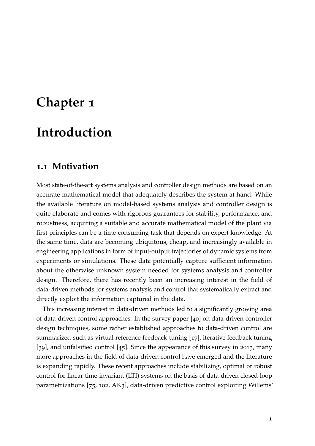# **Chapter 1**

# **Introduction**

## **1.1 Motivation**

Most state-of-the-art systems analysis and controller design methods are based on an accurate mathematical model that adequately describes the system at hand. While the available literature on model-based systems analysis and controller design is quite elaborate and comes with rigorous guarantees for stability, performance, and robustness, acquiring a suitable and accurate mathematical model of the plant via first principles can be a time-consuming task that depends on expert knowledge. At the same time, data are becoming ubiquitous, cheap, and increasingly available in engineering applications in form of input-output trajectories of dynamic systems from experiments or simulations. These data potentially capture sufficient information about the otherwise unknown system needed for systems analysis and controller design. Therefore, there has recently been an increasing interest in the field of data-driven methods for systems analysis and control that systematically extract and directly exploit the information captured in the data.

This increasing interest in data-driven methods led to a significantly growing area of data-driven control approaches. In the survey paper [[40](#page--1-1)] on data-driven controller design techniques, some rather established approaches to data-driven control are summarized such as virtual reference feedback tuning [[17](#page--1-2)], iterative feedback tuning [[39](#page--1-3)], and unfalsified control [[45](#page--1-4)]. Since the appearance of this survey in 2013, many more approaches in the field of data-driven control have emerged and the literature is expanding rapidly. These recent approaches include stabilizing, optimal or robust control for linear time-invariant (LTI) systems on the basis of data-driven closed-loop parametrizations [[75](#page--1-5), [102](#page--1-6), [AK](#page--1-7)3], data-driven predictive control exploiting Willems'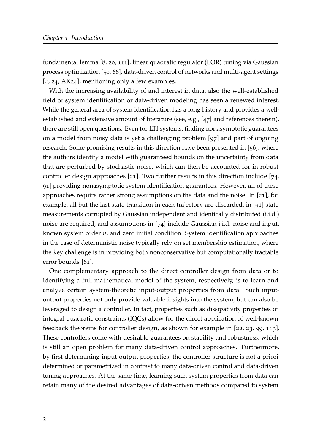fundamental lemma [[8](#page--1-8), [20](#page--1-9), [111](#page--1-10)], linear quadratic regulator (LQR) tuning via Gaussian process optimization [[50](#page--1-11), [66](#page--1-12)], data-driven control of networks and multi-agent settings [[4](#page--1-13), [24](#page--1-14), [AK](#page--1-15)24], mentioning only a few examples.

With the increasing availability of and interest in data, also the well-established field of system identification or data-driven modeling has seen a renewed interest. While the general area of system identification has a long history and provides a wellestablished and extensive amount of literature (see, e.g., [[47](#page--1-16)] and references therein), there are still open questions. Even for LTI systems, finding nonasymptotic guarantees on a model from noisy data is yet a challenging problem [[97](#page--1-17)] and part of ongoing research. Some promising results in this direction have been presented in [[56](#page--1-18)], where the authors identify a model with guaranteed bounds on the uncertainty from data that are perturbed by stochastic noise, which can then be accounted for in robust controller design approaches [[21](#page--1-19)]. Two further results in this direction include [[74](#page--1-20), [91](#page--1-21)] providing nonasymptotic system identification guarantees. However, all of these approaches require rather strong assumptions on the data and the noise. In [[21](#page--1-19)], for example, all but the last state transition in each trajectory are discarded, in [[91](#page--1-21)] state measurements corrupted by Gaussian independent and identically distributed (i.i.d.) noise are required, and assumptions in [[74](#page--1-20)] include Gaussian i.i.d. noise and input, known system order *n*, and zero initial condition. System identification approaches in the case of deterministic noise typically rely on set membership estimation, where the key challenge is in providing both nonconservative but computationally tractable error bounds [[61](#page--1-22)].

One complementary approach to the direct controller design from data or to identifying a full mathematical model of the system, respectively, is to learn and analyze certain system-theoretic input-output properties from data. Such inputoutput properties not only provide valuable insights into the system, but can also be leveraged to design a controller. In fact, properties such as dissipativity properties or integral quadratic constraints (IQCs) allow for the direct application of well-known feedback theorems for controller design, as shown for example in [[22](#page--1-23), [23](#page--1-0), [99](#page--1-24), [113](#page--1-25)]. These controllers come with desirable guarantees on stability and robustness, which is still an open problem for many data-driven control approaches. Furthermore, by first determining input-output properties, the controller structure is not a priori determined or parametrized in contrast to many data-driven control and data-driven tuning approaches. At the same time, learning such system properties from data can retain many of the desired advantages of data-driven methods compared to system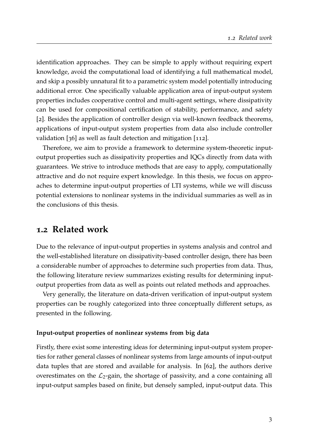identification approaches. They can be simple to apply without requiring expert knowledge, avoid the computational load of identifying a full mathematical model, and skip a possibly unnatural fit to a parametric system model potentially introducing additional error. One specifically valuable application area of input-output system properties includes cooperative control and multi-agent settings, where dissipativity can be used for compositional certification of stability, performance, and safety [[2](#page--1-26)]. Besides the application of controller design via well-known feedback theorems, applications of input-output system properties from data also include controller validation [[36](#page--1-22)] as well as fault detection and mitigation [[112](#page--1-27)].

Therefore, we aim to provide a framework to determine system-theoretic inputoutput properties such as dissipativity properties and IQCs directly from data with guarantees. We strive to introduce methods that are easy to apply, computationally attractive and do not require expert knowledge. In this thesis, we focus on approaches to determine input-output properties of LTI systems, while we will discuss potential extensions to nonlinear systems in the individual summaries as well as in the conclusions of this thesis.

# **1.2 Related work**

Due to the relevance of input-output properties in systems analysis and control and the well-established literature on dissipativity-based controller design, there has been a considerable number of approaches to determine such properties from data. Thus, the following literature review summarizes existing results for determining inputoutput properties from data as well as points out related methods and approaches.

Very generally, the literature on data-driven verification of input-output system properties can be roughly categorized into three conceptually different setups, as presented in the following.

### **Input-output properties of nonlinear systems from big data**

Firstly, there exist some interesting ideas for determining input-output system properties for rather general classes of nonlinear systems from large amounts of input-output data tuples that are stored and available for analysis. In [[62](#page--1-10)], the authors derive overestimates on the  $\mathcal{L}_2$ -gain, the shortage of passivity, and a cone containing all input-output samples based on finite, but densely sampled, input-output data. This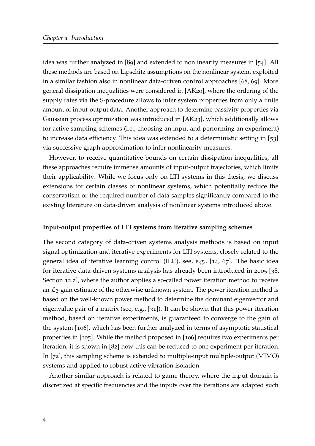idea was further analyzed in [[89](#page--1-28)] and extended to nonlinearity measures in [[54](#page--1-29)]. All these methods are based on Lipschitz assumptions on the nonlinear system, exploited in a similar fashion also in nonlinear data-driven control approaches [[68](#page--1-30), [69](#page--1-31)]. More general dissipation inequalities were considered in [\[AK](#page--1-32)20], where the ordering of the supply rates via the S-procedure allows to infer system properties from only a finite amount of input-output data. Another approach to determine passivity properties via Gaussian process optimization was introduced in [\[AK](#page--1-20)23], which additionally allows for active sampling schemes (i.e., choosing an input and performing an experiment) to increase data efficiency. This idea was extended to a deterministic setting in [[53](#page--1-33)] via successive graph approximation to infer nonlinearity measures.

However, to receive quantitative bounds on certain dissipation inequalities, all these approaches require immense amounts of input-output trajectories, which limits their applicability. While we focus only on LTI systems in this thesis, we discuss extensions for certain classes of nonlinear systems, which potentially reduce the conservatism or the required number of data samples significantly compared to the existing literature on data-driven analysis of nonlinear systems introduced above.

### **Input-output properties of LTI systems from iterative sampling schemes**

The second category of data-driven systems analysis methods is based on input signal optimization and iterative experiments for LTI systems, closely related to the general idea of iterative learning control (ILC), see, e.g., [[14](#page--1-34), [67](#page--1-35)]. The basic idea for iterative data-driven systems analysis has already been introduced in 2005 [[38](#page--1-27), Section 12.2], where the author applies a so-called power iteration method to receive an  $\mathcal{L}_2$ -gain estimate of the otherwise unknown system. The power iteration method is based on the well-known power method to determine the dominant eigenvector and eigenvalue pair of a matrix (see, e.g., [[31](#page--1-36)]). It can be shown that this power iteration method, based on iterative experiments, is guaranteed to converge to the gain of the system [[106](#page--1-37)], which has been further analyzed in terms of asymptotic statistical properties in [[105](#page--1-38)]. While the method proposed in [[106](#page--1-37)] requires two experiments per iteration, it is shown in [[82](#page--1-39)] how this can be reduced to one experiment per iteration. In [[72](#page--1-0)], this sampling scheme is extended to multiple-input multiple-output (MIMO) systems and applied to robust active vibration isolation.

Another similar approach is related to game theory, where the input domain is discretized at specific frequencies and the inputs over the iterations are adapted such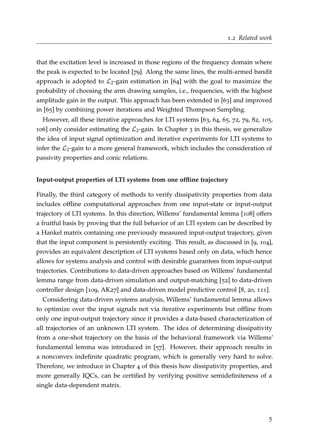that the excitation level is increased in those regions of the frequency domain where the peak is expected to be located [[79](#page--1-40)]. Along the same lines, the multi-armed bandit approach is adopted to  $\mathcal{L}_2$ -gain estimation in [[64](#page--1-41)] with the goal to maximize the probability of choosing the arm drawing samples, i.e., frequencies, with the highest amplitude gain in the output. This approach has been extended in [[63](#page--1-42)] and improved in [[65](#page--1-43)] by combining power iterations and Weighted Thompson Sampling.

However, all these iterative approaches for LTI systems [[63](#page--1-42), [64](#page--1-41), [65](#page--1-43), [72](#page--1-0), [79](#page--1-40), [82](#page--1-39), [105](#page--1-38), [106](#page--1-37)] only consider estimating the  $\mathcal{L}_2$ -gain. In Chapter [3](#page--1-0) in this thesis, we generalize the idea of input signal optimization and iterative experiments for LTI systems to infer the  $\mathcal{L}_2$ -gain to a more general framework, which includes the consideration of passivity properties and conic relations.

## **Input-output properties of LTI systems from one offline trajectory**

Finally, the third category of methods to verify dissipativity properties from data includes offline computational approaches from one input-state or input-output trajectory of LTI systems. In this direction, Willems' fundamental lemma [[108](#page--1-44)] offers a fruitful basis by proving that the full behavior of an LTI system can be described by a Hankel matrix containing one previously measured input-output trajectory, given that the input component is persistently exciting. This result, as discussed in [[9](#page--1-45), [104](#page--1-46)], provides an equivalent description of LTI systems based only on data, which hence allows for systems analysis and control with desirable guarantees from input-output trajectories. Contributions to data-driven approaches based on Willems' fundamental lemma range from data-driven simulation and output-matching [[52](#page--1-47)] to data-driven controller design [[109](#page--1-48), [AK](#page--1-49)27] and data-driven model predictive control [[8](#page--1-8), [20](#page--1-9), [111](#page--1-10)].

Considering data-driven systems analysis, Willems' fundamental lemma allows to optimize over the input signals not via iterative experiments but offline from only one input-output trajectory since it provides a data-based characterization of all trajectories of an unknown LTI system. The idea of determining dissipativity from a one-shot trajectory on the basis of the behavioral framework via Willems' fundamental lemma was introduced in [[57](#page--1-50)]. However, their approach results in a nonconvex indefinite quadratic program, which is generally very hard to solve. Therefore, we introduce in Chapter [4](#page--1-0) of this thesis how dissipativity properties, and more generally IQCs, can be certified by verifying positive semidefiniteness of a single data-dependent matrix.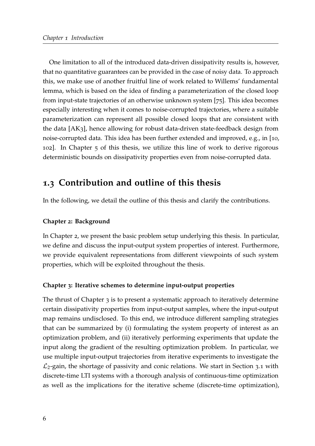One limitation to all of the introduced data-driven dissipativity results is, however, that no quantitative guarantees can be provided in the case of noisy data. To approach this, we make use of another fruitful line of work related to Willems' fundamental lemma, which is based on the idea of finding a parameterization of the closed loop from input-state trajectories of an otherwise unknown system [[75](#page--1-5)]. This idea becomes especially interesting when it comes to noise-corrupted trajectories, where a suitable parameterization can represent all possible closed loops that are consistent with the data [\[AK](#page--1-7)3], hence allowing for robust data-driven state-feedback design from noise-corrupted data. This idea has been further extended and improved, e.g., in [[10](#page--1-51), [102](#page--1-6)]. In Chapter [5](#page--1-0) of this thesis, we utilize this line of work to derive rigorous deterministic bounds on dissipativity properties even from noise-corrupted data.

# **1.3 Contribution and outline of this thesis**

In the following, we detail the outline of this thesis and clarify the contributions.

## **Chapter 2: Background**

In Chapter 2, we present the basic problem setup underlying this thesis. In particular, we define and discuss the input-output system properties of interest. Furthermore, we provide equivalent representations from different viewpoints of such system properties, which will be exploited throughout the thesis.

### **Chapter 3: Iterative schemes to determine input-output properties**

The thrust of Chapter 3 is to present a systematic approach to iteratively determine certain dissipativity properties from input-output samples, where the input-output map remains undisclosed. To this end, we introduce different sampling strategies that can be summarized by (i) formulating the system property of interest as an optimization problem, and (ii) iteratively performing experiments that update the input along the gradient of the resulting optimization problem. In particular, we use multiple input-output trajectories from iterative experiments to investigate the  $\mathcal{L}_2$ -gain, the shortage of passivity and conic relations. We start in Section [3](#page--1-52).1 with discrete-time LTI systems with a thorough analysis of continuous-time optimization as well as the implications for the iterative scheme (discrete-time optimization),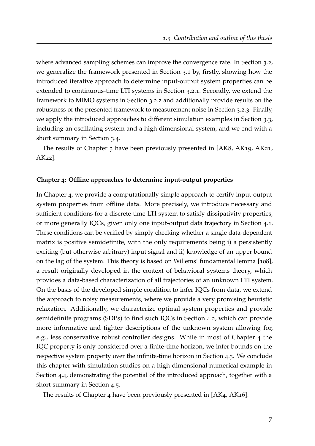where advanced sampling schemes can improve the convergence rate. In Section [3](#page--1-53).2, we generalize the framework presented in Section [3](#page--1-52).1 by, firstly, showing how the introduced iterative approach to determine input-output system properties can be extended to continuous-time LTI systems in Section [3](#page--1-54).2.1. Secondly, we extend the framework to MIMO systems in Section [3](#page--1-0).2.2 and additionally provide results on the robustness of the presented framework to measurement noise in Section [3](#page--1-55).2.3. Finally, we apply the introduced approaches to different simulation examples in Section [3](#page--1-56).3, including an oscillating system and a high dimensional system, and we end with a short summary in Section [3](#page--1-22).4.

The results of Chapter 3 have been previously presented in [\[AK](#page--1-57)8, [AK](#page--1-58)19, [AK](#page--1-0)21, [AK](#page--1-24)22].

#### **Chapter 4: Offline approaches to determine input-output properties**

In Chapter [4](#page--1-0), we provide a computationally simple approach to certify input-output system properties from offline data. More precisely, we introduce necessary and sufficient conditions for a discrete-time LTI system to satisfy dissipativity properties, or more generally IQCs, given only one input-output data trajectory in Section [4](#page--1-0).1. These conditions can be verified by simply checking whether a single data-dependent matrix is positive semidefinite, with the only requirements being i) a persistently exciting (but otherwise arbitrary) input signal and ii) knowledge of an upper bound on the lag of the system. This theory is based on Willems' fundamental lemma [[108](#page--1-44)], a result originally developed in the context of behavioral systems theory, which provides a data-based characterization of all trajectories of an unknown LTI system. On the basis of the developed simple condition to infer IQCs from data, we extend the approach to noisy measurements, where we provide a very promising heuristic relaxation. Additionally, we characterize optimal system properties and provide semidefinite programs (SDPs) to find such IQCs in Section [4](#page--1-22).2, which can provide more informative and tighter descriptions of the unknown system allowing for, e.g., less conservative robust controller designs. While in most of Chapter [4](#page--1-0) the IQC property is only considered over a finite-time horizon, we infer bounds on the respective system property over the infinite-time horizon in Section [4](#page--1-59).3. We conclude this chapter with simulation studies on a high dimensional numerical example in Section [4](#page--1-0).4, demonstrating the potential of the introduced approach, together with a short summary in Section [4](#page--1-60).5.

The results of Chapter 4 have been previously presented in [\[AK](#page--1-61)4, [AK](#page--1-62)16].